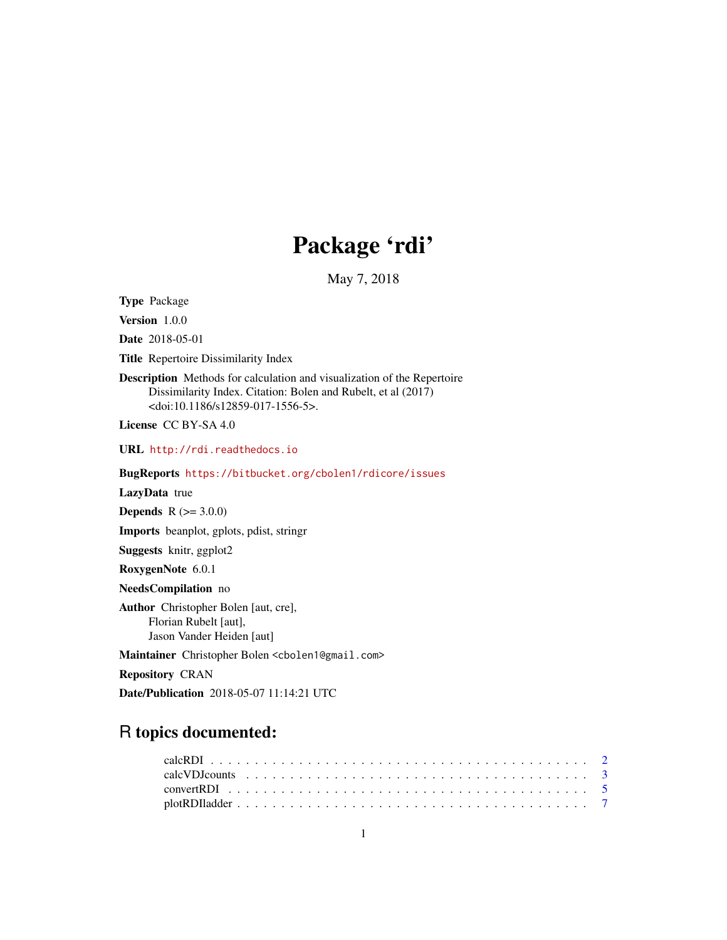## Package 'rdi'

May 7, 2018

<span id="page-0-0"></span>Type Package

Version 1.0.0

Date 2018-05-01

Title Repertoire Dissimilarity Index

Description Methods for calculation and visualization of the Repertoire Dissimilarity Index. Citation: Bolen and Rubelt, et al (2017) <doi:10.1186/s12859-017-1556-5>.

License CC BY-SA 4.0

URL <http://rdi.readthedocs.io>

BugReports <https://bitbucket.org/cbolen1/rdicore/issues>

#### LazyData true

**Depends**  $R (= 3.0.0)$ 

Imports beanplot, gplots, pdist, stringr

Suggests knitr, ggplot2

RoxygenNote 6.0.1

NeedsCompilation no

Author Christopher Bolen [aut, cre], Florian Rubelt [aut], Jason Vander Heiden [aut]

Maintainer Christopher Bolen <cbolen1@gmail.com>

Repository CRAN

Date/Publication 2018-05-07 11:14:21 UTC

### R topics documented: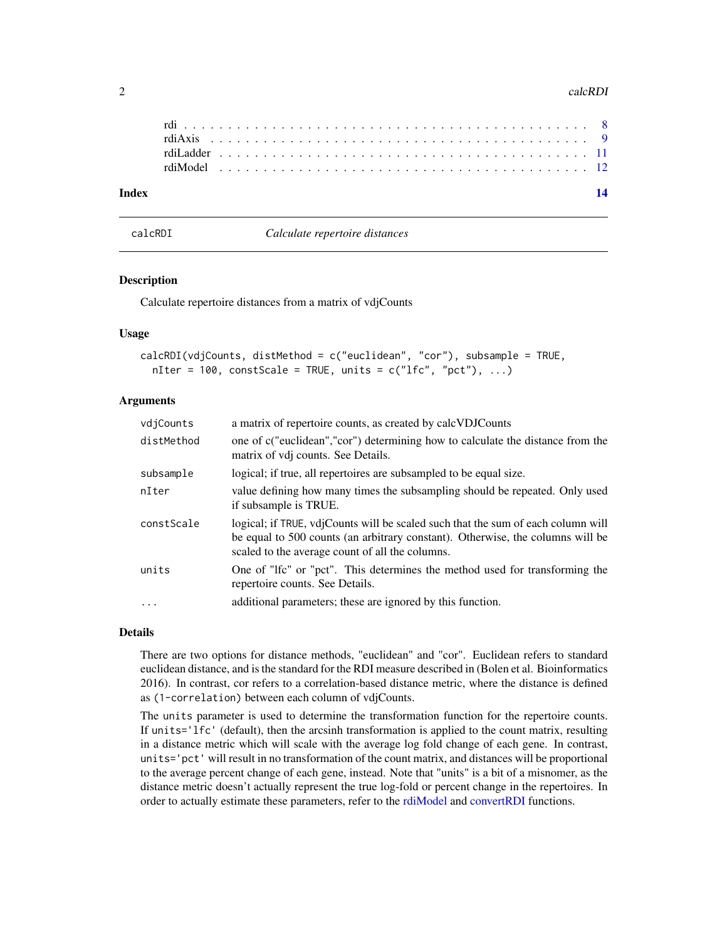#### <span id="page-1-0"></span>2 calcRDI 2

| Index |  |  |  |  |  |  |  |  |  |  |  |  |  |  |  |  |  |  |  |  |  |  |
|-------|--|--|--|--|--|--|--|--|--|--|--|--|--|--|--|--|--|--|--|--|--|--|
|       |  |  |  |  |  |  |  |  |  |  |  |  |  |  |  |  |  |  |  |  |  |  |
|       |  |  |  |  |  |  |  |  |  |  |  |  |  |  |  |  |  |  |  |  |  |  |
|       |  |  |  |  |  |  |  |  |  |  |  |  |  |  |  |  |  |  |  |  |  |  |
|       |  |  |  |  |  |  |  |  |  |  |  |  |  |  |  |  |  |  |  |  |  |  |

<span id="page-1-1"></span>calcRDI *Calculate repertoire distances*

#### Description

Calculate repertoire distances from a matrix of vdjCounts

#### Usage

```
calcRDI(vdjCounts, distMethod = c("euclidean", "cor"), subsample = TRUE,
  nIter = 100, constScale = TRUE, units = c("lfc", "pct"), ...)
```
#### Arguments

| vdjCounts  | a matrix of repertoire counts, as created by calcVDJCounts                                                                                                                                                            |
|------------|-----------------------------------------------------------------------------------------------------------------------------------------------------------------------------------------------------------------------|
| distMethod | one of c("euclidean","cor") determining how to calculate the distance from the<br>matrix of vdj counts. See Details.                                                                                                  |
| subsample  | logical; if true, all repertoires are subsampled to be equal size.                                                                                                                                                    |
| nIter      | value defining how many times the subsampling should be repeated. Only used<br>if subsample is TRUE.                                                                                                                  |
| constScale | logical; if TRUE, vdjCounts will be scaled such that the sum of each column will<br>be equal to 500 counts (an arbitrary constant). Otherwise, the columns will be<br>scaled to the average count of all the columns. |
| units      | One of "Ifc" or "pct". This determines the method used for transforming the<br>repertoire counts. See Details.                                                                                                        |
| $\ddots$   | additional parameters; these are ignored by this function.                                                                                                                                                            |

#### Details

There are two options for distance methods, "euclidean" and "cor". Euclidean refers to standard euclidean distance, and is the standard for the RDI measure described in (Bolen et al. Bioinformatics 2016). In contrast, cor refers to a correlation-based distance metric, where the distance is defined as (1-correlation) between each column of vdjCounts.

The units parameter is used to determine the transformation function for the repertoire counts. If units='lfc' (default), then the arcsinh transformation is applied to the count matrix, resulting in a distance metric which will scale with the average log fold change of each gene. In contrast, units='pct' will result in no transformation of the count matrix, and distances will be proportional to the average percent change of each gene, instead. Note that "units" is a bit of a misnomer, as the distance metric doesn't actually represent the true log-fold or percent change in the repertoires. In order to actually estimate these parameters, refer to the [rdiModel](#page-11-1) and [convertRDI](#page-4-1) functions.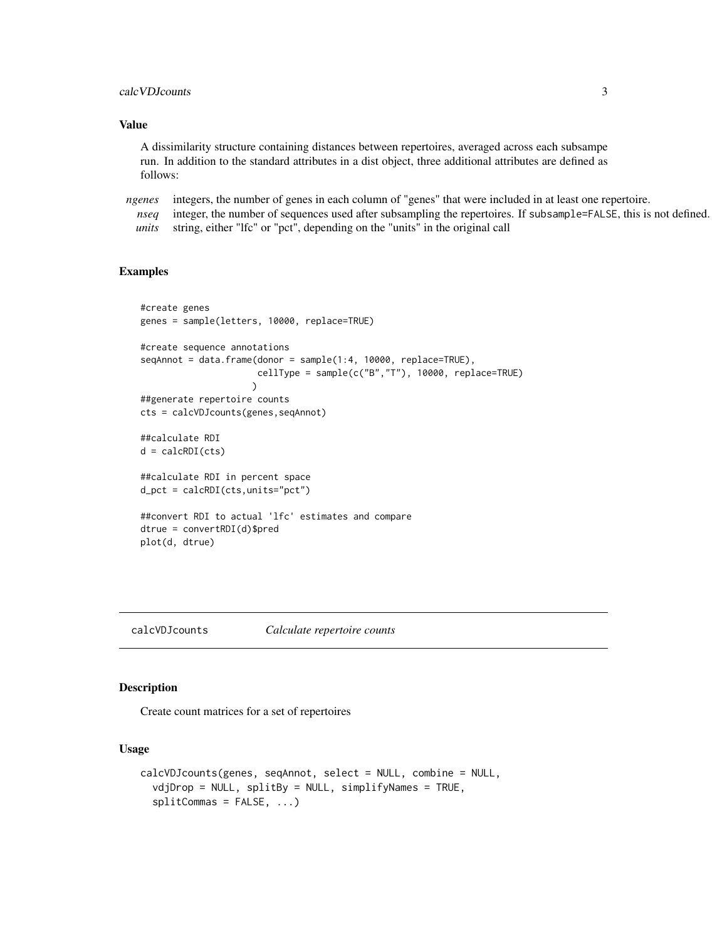#### <span id="page-2-0"></span>calc VDJcounts 3

#### Value

A dissimilarity structure containing distances between repertoires, averaged across each subsampe run. In addition to the standard attributes in a dist object, three additional attributes are defined as follows:

*ngenes* integers, the number of genes in each column of "genes" that were included in at least one repertoire.

*nseq* integer, the number of sequences used after subsampling the repertoires. If subsample=FALSE, this is not defined. *units* string, either "lfc" or "pct", depending on the "units" in the original call

#### Examples

```
#create genes
genes = sample(letters, 10000, replace=TRUE)
#create sequence annotations
seqAnnot = data.frame(donor = sample(1:4, 10000, replace=TRUE),
                      cellType = sample(c("B","T"), 10000, replace=TRUE)
                     \mathcal{L}##generate repertoire counts
cts = calcVDJcounts(genes,seqAnnot)
##calculate RDI
d = calcRDI(cts)
##calculate RDI in percent space
d_pct = calcRDI(cts,units="pct")
##convert RDI to actual 'lfc' estimates and compare
dtrue = convertRDI(d)$pred
plot(d, dtrue)
```
<span id="page-2-1"></span>calcVDJcounts *Calculate repertoire counts*

#### Description

Create count matrices for a set of repertoires

#### Usage

```
calcVDJcounts(genes, seqAnnot, select = NULL, combine = NULL,
  vdjDrop = NULL, splitBy = NULL, simplifyNames = TRUE,
  splitCommas = FALSE, ...)
```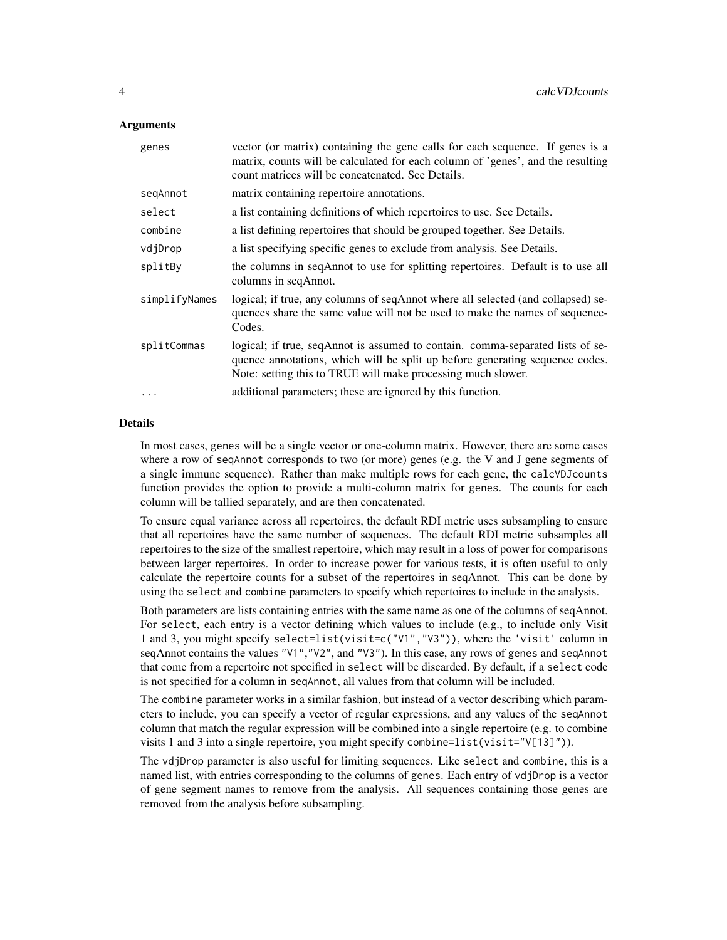#### **Arguments**

| genes         | vector (or matrix) containing the gene calls for each sequence. If genes is a<br>matrix, counts will be calculated for each column of 'genes', and the resulting<br>count matrices will be concatenated. See Details.          |
|---------------|--------------------------------------------------------------------------------------------------------------------------------------------------------------------------------------------------------------------------------|
| segAnnot      | matrix containing repertoire annotations.                                                                                                                                                                                      |
| select        | a list containing definitions of which repertoires to use. See Details.                                                                                                                                                        |
| combine       | a list defining repertoires that should be grouped together. See Details.                                                                                                                                                      |
| vdjDrop       | a list specifying specific genes to exclude from analysis. See Details.                                                                                                                                                        |
| splitBy       | the columns in seqAnnot to use for splitting repertoires. Default is to use all<br>columns in seqAnnot.                                                                                                                        |
| simplifyNames | logical; if true, any columns of seqAnnot where all selected (and collapsed) se-<br>quences share the same value will not be used to make the names of sequence-<br>Codes.                                                     |
| splitCommas   | logical; if true, seqAnnot is assumed to contain. comma-separated lists of se-<br>quence annotations, which will be split up before generating sequence codes.<br>Note: setting this to TRUE will make processing much slower. |
| $\cdots$      | additional parameters; these are ignored by this function.                                                                                                                                                                     |

#### Details

In most cases, genes will be a single vector or one-column matrix. However, there are some cases where a row of seqAnnot corresponds to two (or more) genes (e.g. the V and J gene segments of a single immune sequence). Rather than make multiple rows for each gene, the calcVDJcounts function provides the option to provide a multi-column matrix for genes. The counts for each column will be tallied separately, and are then concatenated.

To ensure equal variance across all repertoires, the default RDI metric uses subsampling to ensure that all repertoires have the same number of sequences. The default RDI metric subsamples all repertoires to the size of the smallest repertoire, which may result in a loss of power for comparisons between larger repertoires. In order to increase power for various tests, it is often useful to only calculate the repertoire counts for a subset of the repertoires in seqAnnot. This can be done by using the select and combine parameters to specify which repertoires to include in the analysis.

Both parameters are lists containing entries with the same name as one of the columns of seqAnnot. For select, each entry is a vector defining which values to include (e.g., to include only Visit 1 and 3, you might specify select=list(visit=c("V1","V3")), where the 'visit' column in seqAnnot contains the values "V1", "V2", and "V3"). In this case, any rows of genes and seqAnnot that come from a repertoire not specified in select will be discarded. By default, if a select code is not specified for a column in seqAnnot, all values from that column will be included.

The combine parameter works in a similar fashion, but instead of a vector describing which parameters to include, you can specify a vector of regular expressions, and any values of the seqAnnot column that match the regular expression will be combined into a single repertoire (e.g. to combine visits 1 and 3 into a single repertoire, you might specify combine=list(visit="V[13]")).

The vdjDrop parameter is also useful for limiting sequences. Like select and combine, this is a named list, with entries corresponding to the columns of genes. Each entry of vdjDrop is a vector of gene segment names to remove from the analysis. All sequences containing those genes are removed from the analysis before subsampling.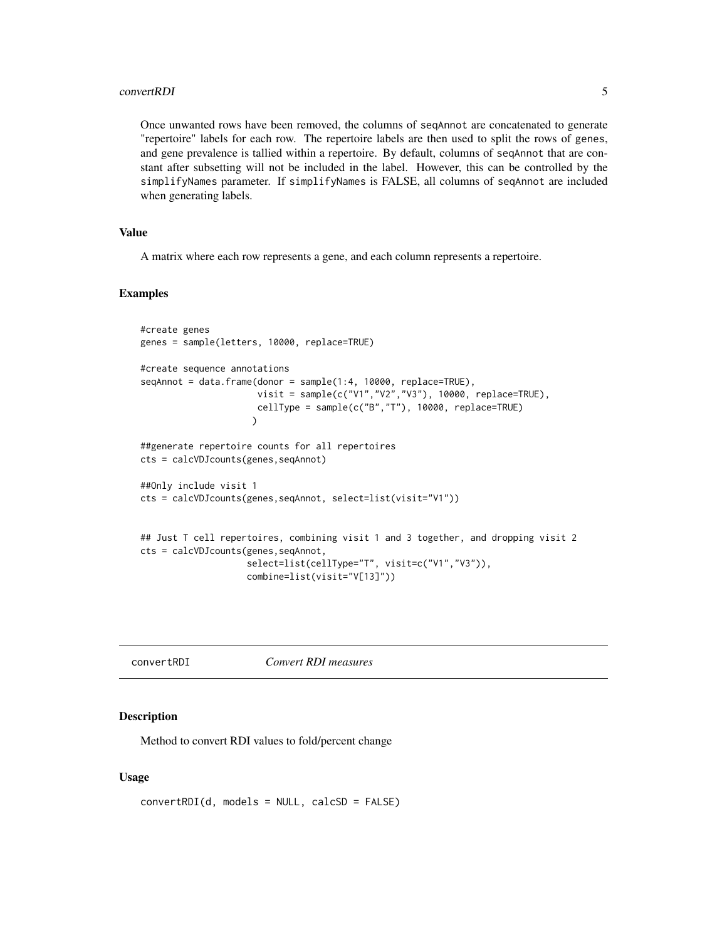#### <span id="page-4-0"></span>convertRDI 5

Once unwanted rows have been removed, the columns of seqAnnot are concatenated to generate "repertoire" labels for each row. The repertoire labels are then used to split the rows of genes, and gene prevalence is tallied within a repertoire. By default, columns of seqAnnot that are constant after subsetting will not be included in the label. However, this can be controlled by the simplifyNames parameter. If simplifyNames is FALSE, all columns of seqAnnot are included when generating labels.

#### Value

A matrix where each row represents a gene, and each column represents a repertoire.

#### Examples

```
#create genes
genes = sample(letters, 10000, replace=TRUE)
#create sequence annotations
seqAnnot = data.frame(donor = sample(1:4, 10000, replace=TRUE),
                      visit = sample(c("V1","V2","V3"), 10000, replace=TRUE),
                      cellType = sample(c("B","T"), 10000, replace=TRUE)
                     \lambda##generate repertoire counts for all repertoires
cts = calcVDJcounts(genes,seqAnnot)
##Only include visit 1
cts = calcVDJcounts(genes,seqAnnot, select=list(visit="V1"))
## Just T cell repertoires, combining visit 1 and 3 together, and dropping visit 2
cts = calcVDJcounts(genes,seqAnnot,
                    select=list(cellType="T", visit=c("V1","V3")),
                    combine=list(visit="V[13]"))
```
<span id="page-4-1"></span>convertRDI *Convert RDI measures*

#### Description

Method to convert RDI values to fold/percent change

#### Usage

```
convertRDI(d, models = NULL, calcSD = FALSE)
```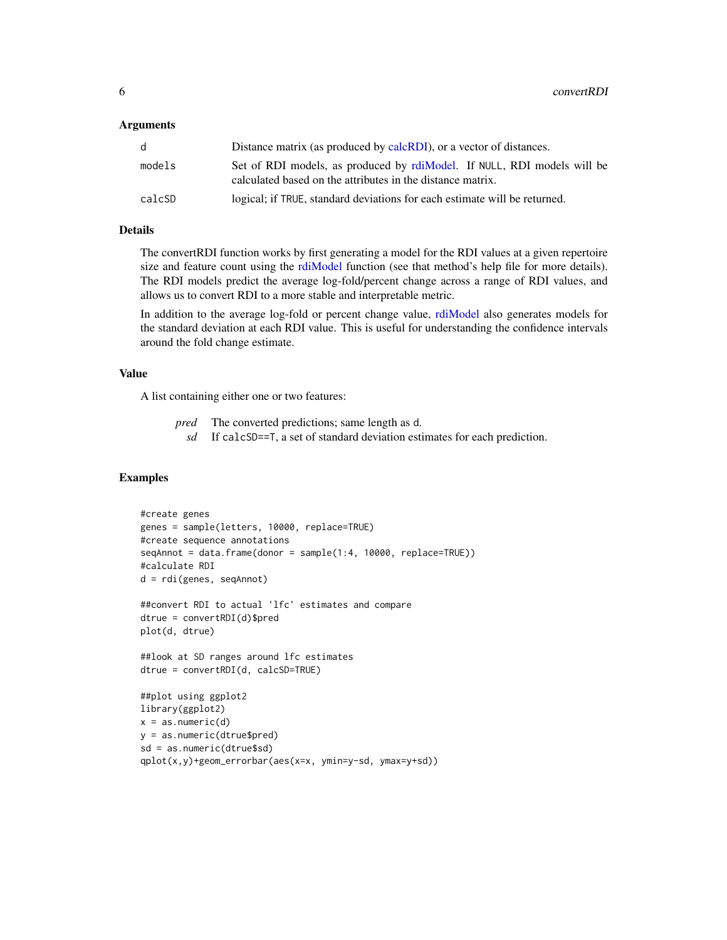#### <span id="page-5-0"></span>Arguments

| d      | Distance matrix (as produced by calcRDI), or a vector of distances.                                                                   |
|--------|---------------------------------------------------------------------------------------------------------------------------------------|
| models | Set of RDI models, as produced by rdiModel. If NULL, RDI models will be<br>calculated based on the attributes in the distance matrix. |
| calcSD | logical; if TRUE, standard deviations for each estimate will be returned.                                                             |

#### Details

The convertRDI function works by first generating a model for the RDI values at a given repertoire size and feature count using the [rdiModel](#page-11-1) function (see that method's help file for more details). The RDI models predict the average log-fold/percent change across a range of RDI values, and allows us to convert RDI to a more stable and interpretable metric.

In addition to the average log-fold or percent change value, [rdiModel](#page-11-1) also generates models for the standard deviation at each RDI value. This is useful for understanding the confidence intervals around the fold change estimate.

#### Value

A list containing either one or two features:

- *pred* The converted predictions; same length as d.
	- *sd* If calcSD==T, a set of standard deviation estimates for each prediction.

#### Examples

```
#create genes
genes = sample(letters, 10000, replace=TRUE)
#create sequence annotations
seqAnnot = data.frame(donor = sample(1:4, 10000, replace=TRUE))
#calculate RDI
d = rdi(genes, seqAnnot)
##convert RDI to actual 'lfc' estimates and compare
dtrue = convertRDI(d)$pred
plot(d, dtrue)
##look at SD ranges around lfc estimates
dtrue = convertRDI(d, calcSD=TRUE)
##plot using ggplot2
library(ggplot2)
x = as.numeric(d)y = as.numeric(dtrue$pred)
sd = as.numeric(dtrue$sd)
qplot(x,y)+geom_errorbar(aes(x=x, ymin=y-sd, ymax=y+sd))
```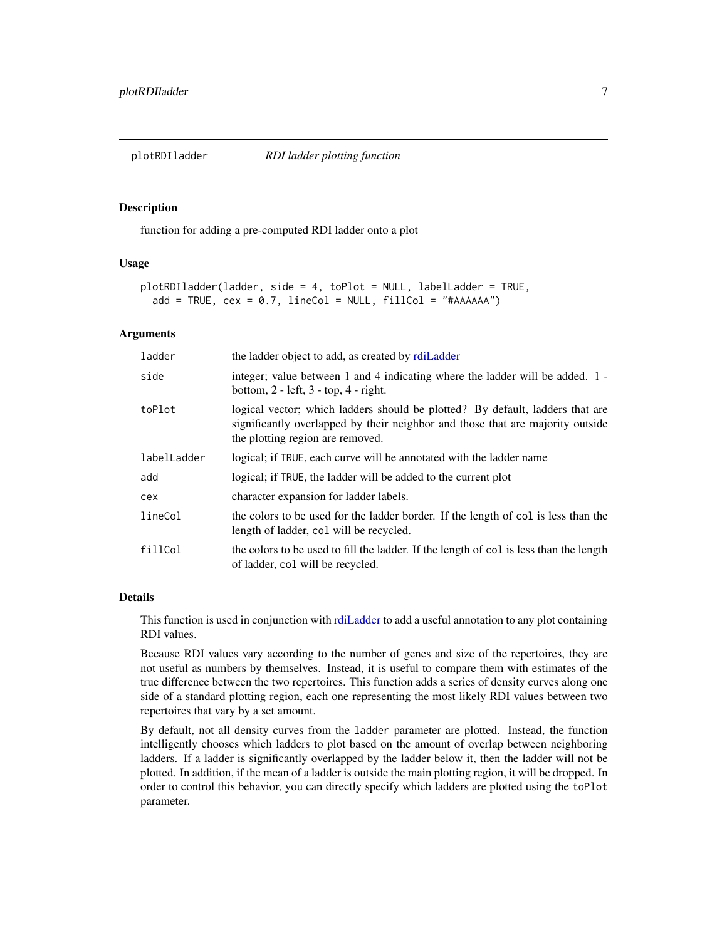<span id="page-6-1"></span><span id="page-6-0"></span>

#### Description

function for adding a pre-computed RDI ladder onto a plot

#### Usage

```
plotRDIladder(ladder, side = 4, toPlot = NULL, labelLadder = TRUE,
  add = TRUE, cex = 0.7, lineCol = NULL, fillCol = "#AAAAA"
```
#### Arguments

| ladder      | the ladder object to add, as created by rdiLadder                                                                                                                                                   |
|-------------|-----------------------------------------------------------------------------------------------------------------------------------------------------------------------------------------------------|
| side        | integer; value between 1 and 4 indicating where the ladder will be added. 1 -<br>bottom, $2$ - left, $3$ - top, $4$ - right.                                                                        |
| toPlot      | logical vector; which ladders should be plotted? By default, ladders that are<br>significantly overlapped by their neighbor and those that are majority outside<br>the plotting region are removed. |
| labelLadder | logical; if TRUE, each curve will be annotated with the ladder name                                                                                                                                 |
| add         | logical; if TRUE, the ladder will be added to the current plot                                                                                                                                      |
| cex         | character expansion for ladder labels.                                                                                                                                                              |
| lineCol     | the colors to be used for the ladder border. If the length of col is less than the<br>length of ladder, col will be recycled.                                                                       |
| fillCol     | the colors to be used to fill the ladder. If the length of col is less than the length<br>of ladder, col will be recycled.                                                                          |

#### Details

This function is used in conjunction with [rdiLadder](#page-10-1) to add a useful annotation to any plot containing RDI values.

Because RDI values vary according to the number of genes and size of the repertoires, they are not useful as numbers by themselves. Instead, it is useful to compare them with estimates of the true difference between the two repertoires. This function adds a series of density curves along one side of a standard plotting region, each one representing the most likely RDI values between two repertoires that vary by a set amount.

By default, not all density curves from the ladder parameter are plotted. Instead, the function intelligently chooses which ladders to plot based on the amount of overlap between neighboring ladders. If a ladder is significantly overlapped by the ladder below it, then the ladder will not be plotted. In addition, if the mean of a ladder is outside the main plotting region, it will be dropped. In order to control this behavior, you can directly specify which ladders are plotted using the toPlot parameter.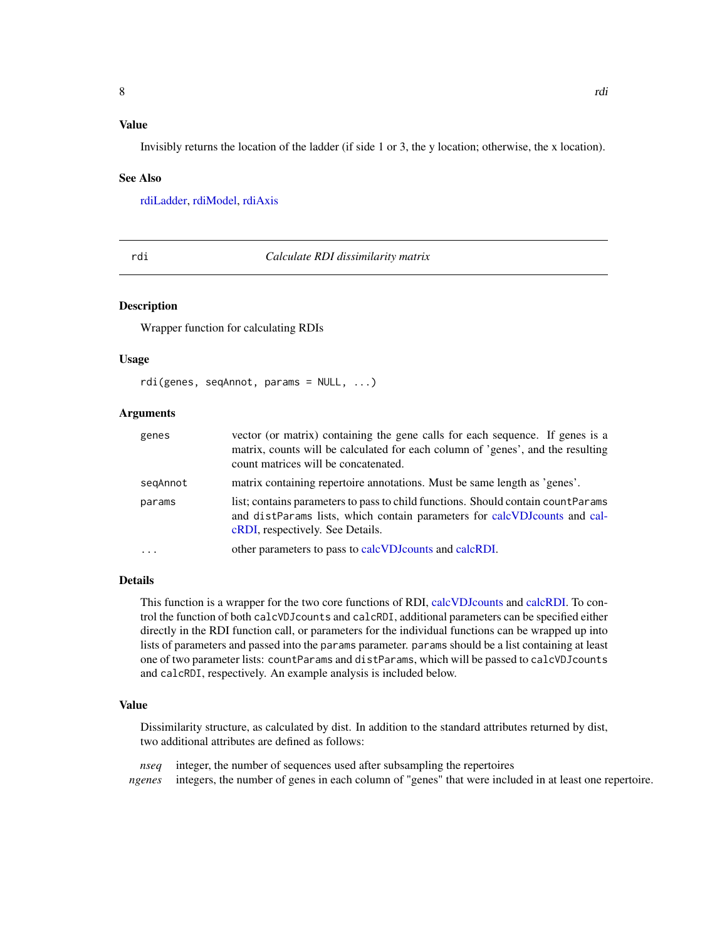#### <span id="page-7-0"></span>Value

Invisibly returns the location of the ladder (if side 1 or 3, the y location; otherwise, the x location).

#### See Also

[rdiLadder,](#page-10-1) [rdiModel,](#page-11-1) [rdiAxis](#page-8-1)

rdi *Calculate RDI dissimilarity matrix*

#### **Description**

Wrapper function for calculating RDIs

#### Usage

rdi(genes, seqAnnot, params = NULL, ...)

#### Arguments

| genes    | vector (or matrix) containing the gene calls for each sequence. If genes is a<br>matrix, counts will be calculated for each column of 'genes', and the resulting<br>count matrices will be concatenated.  |
|----------|-----------------------------------------------------------------------------------------------------------------------------------------------------------------------------------------------------------|
| segAnnot | matrix containing repertoire annotations. Must be same length as 'genes'.                                                                                                                                 |
| params   | list; contains parameters to pass to child functions. Should contain countParams<br>and distParams lists, which contain parameters for calcVDJcounts and cal-<br><b>cRDI</b> , respectively. See Details. |
| $\ddots$ | other parameters to pass to calcVDJcounts and calcRDI.                                                                                                                                                    |

#### Details

This function is a wrapper for the two core functions of RDI, [calcVDJcounts](#page-2-1) and [calcRDI.](#page-1-1) To control the function of both calcVDJcounts and calcRDI, additional parameters can be specified either directly in the RDI function call, or parameters for the individual functions can be wrapped up into lists of parameters and passed into the params parameter. params should be a list containing at least one of two parameter lists: countParams and distParams, which will be passed to calcVDJcounts and calcRDI, respectively. An example analysis is included below.

#### Value

Dissimilarity structure, as calculated by dist. In addition to the standard attributes returned by dist, two additional attributes are defined as follows:

*nseq* integer, the number of sequences used after subsampling the repertoires *ngenes* integers, the number of genes in each column of "genes" that were included in at least one repertoire.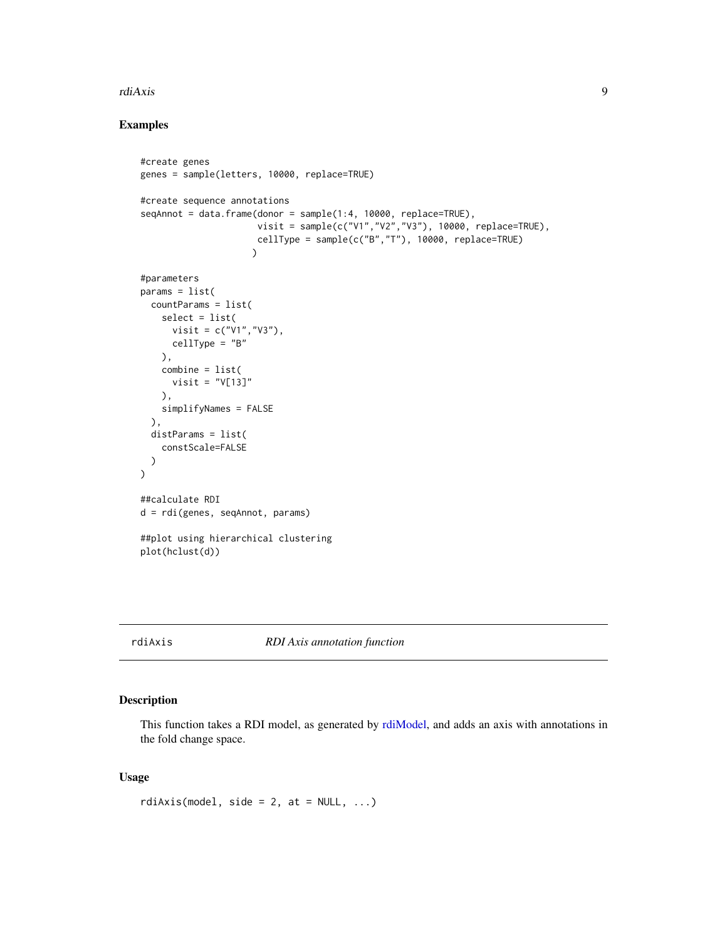#### <span id="page-8-0"></span>rdiAxis 9

#### Examples

```
#create genes
genes = sample(letters, 10000, replace=TRUE)
#create sequence annotations
seqAnnot = data.frame(donor = sample(1:4, 10000, replace=TRUE),
                      visit = sample(c("V1","V2","V3"), 10000, replace=TRUE),
                      cellType = sample(c("B","T"), 10000, replace=TRUE)
                     \lambda#parameters
params = list(countParams = list(
    select = list(
     visit = c("V1","V3"),
      cellType = "B"
    ),
    combine = list(
      visit = "V[13]"
    ),
    simplifyNames = FALSE
 ),
  distParams = list(
    constScale=FALSE
  )
\mathcal{L}##calculate RDI
d = rdi(genes, seqAnnot, params)
##plot using hierarchical clustering
plot(hclust(d))
```
<span id="page-8-1"></span>

#### rdiAxis *RDI Axis annotation function*

#### Description

This function takes a RDI model, as generated by [rdiModel,](#page-11-1) and adds an axis with annotations in the fold change space.

#### Usage

rdiAxis(model, side = 2, at =  $NULL, ...)$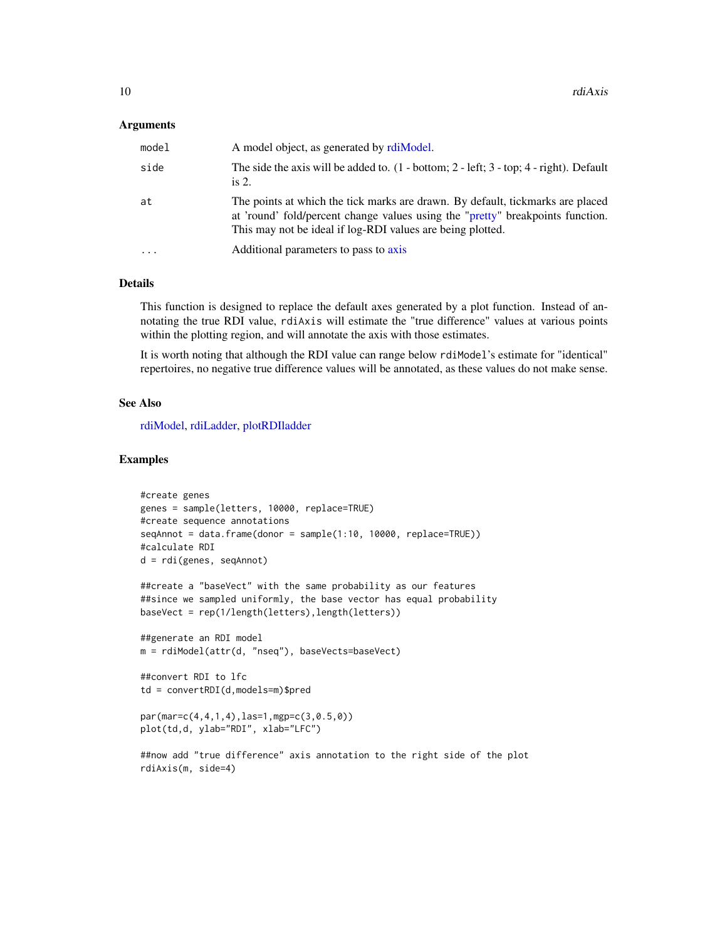#### <span id="page-9-0"></span>**Arguments**

| model     | A model object, as generated by rdiModel.                                                                                                                                                                                      |
|-----------|--------------------------------------------------------------------------------------------------------------------------------------------------------------------------------------------------------------------------------|
| side      | The side the axis will be added to. $(1 - bottom; 2 - left; 3 - top; 4 - right)$ . Default<br>is $2.$                                                                                                                          |
| at        | The points at which the tick marks are drawn. By default, tickmarks are placed<br>at 'round' fold/percent change values using the "pretty" breakpoints function.<br>This may not be ideal if log-RDI values are being plotted. |
| $\ddotsc$ | Additional parameters to pass to axis                                                                                                                                                                                          |

#### Details

This function is designed to replace the default axes generated by a plot function. Instead of annotating the true RDI value, rdiAxis will estimate the "true difference" values at various points within the plotting region, and will annotate the axis with those estimates.

It is worth noting that although the RDI value can range below rdiModel's estimate for "identical" repertoires, no negative true difference values will be annotated, as these values do not make sense.

#### See Also

[rdiModel,](#page-11-1) [rdiLadder,](#page-10-1) [plotRDIladder](#page-6-1)

#### Examples

```
#create genes
genes = sample(letters, 10000, replace=TRUE)
#create sequence annotations
seqAnnot = data.frame(donor = sample(1:10, 10000, replace=TRUE))
#calculate RDI
d = rdi(genes, seqAnnot)
##create a "baseVect" with the same probability as our features
##since we sampled uniformly, the base vector has equal probability
baseVect = rep(1/length(letters),length(letters))
##generate an RDI model
m = rdiModel(attr(d, "nseq"), baseVects=baseVect)
##convert RDI to lfc
td = convertRDI(d,models=m)$pred
par(mar=c(4,4,1,4),las=1,mgp=c(3,0.5,0))
plot(td,d, ylab="RDI", xlab="LFC")
##now add "true difference" axis annotation to the right side of the plot
rdiAxis(m, side=4)
```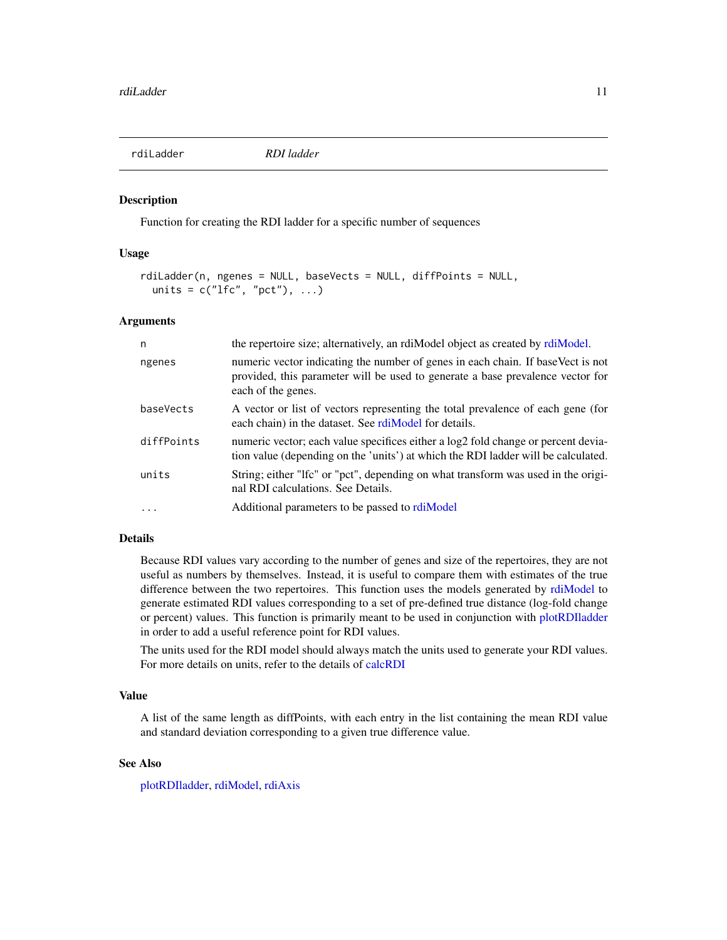<span id="page-10-1"></span><span id="page-10-0"></span>

#### Description

Function for creating the RDI ladder for a specific number of sequences

#### Usage

```
rdiLadder(n, ngenes = NULL, baseVects = NULL, diffPoints = NULL,
 units = c("lfc", "pot"), ...)
```
#### **Arguments**

| n          | the repertoire size; alternatively, an rdiModel object as created by rdiModel.                                                                                                          |
|------------|-----------------------------------------------------------------------------------------------------------------------------------------------------------------------------------------|
| ngenes     | numeric vector indicating the number of genes in each chain. If baseVect is not<br>provided, this parameter will be used to generate a base prevalence vector for<br>each of the genes. |
| baseVects  | A vector or list of vectors representing the total prevalence of each gene (for<br>each chain) in the dataset. See rdiModel for details.                                                |
| diffPoints | numeric vector; each value specifices either a log2 fold change or percent devia-<br>tion value (depending on the 'units') at which the RDI ladder will be calculated.                  |
| units      | String; either "Ifc" or "pct", depending on what transform was used in the origi-<br>nal RDI calculations. See Details.                                                                 |
| .          | Additional parameters to be passed to rdiModel                                                                                                                                          |

#### Details

Because RDI values vary according to the number of genes and size of the repertoires, they are not useful as numbers by themselves. Instead, it is useful to compare them with estimates of the true difference between the two repertoires. This function uses the models generated by [rdiModel](#page-11-1) to generate estimated RDI values corresponding to a set of pre-defined true distance (log-fold change or percent) values. This function is primarily meant to be used in conjunction with [plotRDIladder](#page-6-1) in order to add a useful reference point for RDI values.

The units used for the RDI model should always match the units used to generate your RDI values. For more details on units, refer to the details of [calcRDI](#page-1-1)

#### Value

A list of the same length as diffPoints, with each entry in the list containing the mean RDI value and standard deviation corresponding to a given true difference value.

#### See Also

[plotRDIladder,](#page-6-1) [rdiModel,](#page-11-1) [rdiAxis](#page-8-1)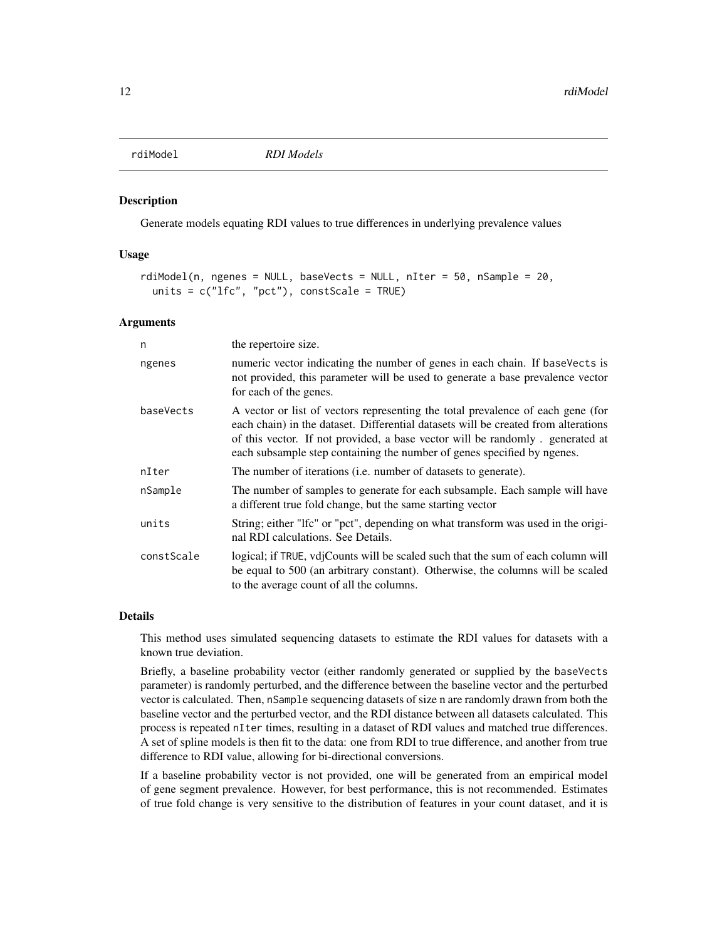<span id="page-11-1"></span><span id="page-11-0"></span>

#### Description

Generate models equating RDI values to true differences in underlying prevalence values

#### Usage

```
rdiModel(n, ngenes = NULL, baseVects = NULL, nIter = 50, nSample = 20,
 units = c("If c", "pot"), constScale = TRUE)
```
#### Arguments

| n          | the repertoire size.                                                                                                                                                                                                                                                                                                               |
|------------|------------------------------------------------------------------------------------------------------------------------------------------------------------------------------------------------------------------------------------------------------------------------------------------------------------------------------------|
| ngenes     | numeric vector indicating the number of genes in each chain. If baseVects is<br>not provided, this parameter will be used to generate a base prevalence vector<br>for each of the genes.                                                                                                                                           |
| baseVects  | A vector or list of vectors representing the total prevalence of each gene (for<br>each chain) in the dataset. Differential datasets will be created from alterations<br>of this vector. If not provided, a base vector will be randomly . generated at<br>each subsample step containing the number of genes specified by ngenes. |
| nIter      | The number of iterations (i.e. number of datasets to generate).                                                                                                                                                                                                                                                                    |
| nSample    | The number of samples to generate for each subsample. Each sample will have<br>a different true fold change, but the same starting vector                                                                                                                                                                                          |
| units      | String; either "Ifc" or "pct", depending on what transform was used in the origi-<br>nal RDI calculations. See Details.                                                                                                                                                                                                            |
| constScale | logical; if TRUE, vdjCounts will be scaled such that the sum of each column will<br>be equal to 500 (an arbitrary constant). Otherwise, the columns will be scaled<br>to the average count of all the columns.                                                                                                                     |

#### Details

This method uses simulated sequencing datasets to estimate the RDI values for datasets with a known true deviation.

Briefly, a baseline probability vector (either randomly generated or supplied by the baseVects parameter) is randomly perturbed, and the difference between the baseline vector and the perturbed vector is calculated. Then, nSample sequencing datasets of size n are randomly drawn from both the baseline vector and the perturbed vector, and the RDI distance between all datasets calculated. This process is repeated nIter times, resulting in a dataset of RDI values and matched true differences. A set of spline models is then fit to the data: one from RDI to true difference, and another from true difference to RDI value, allowing for bi-directional conversions.

If a baseline probability vector is not provided, one will be generated from an empirical model of gene segment prevalence. However, for best performance, this is not recommended. Estimates of true fold change is very sensitive to the distribution of features in your count dataset, and it is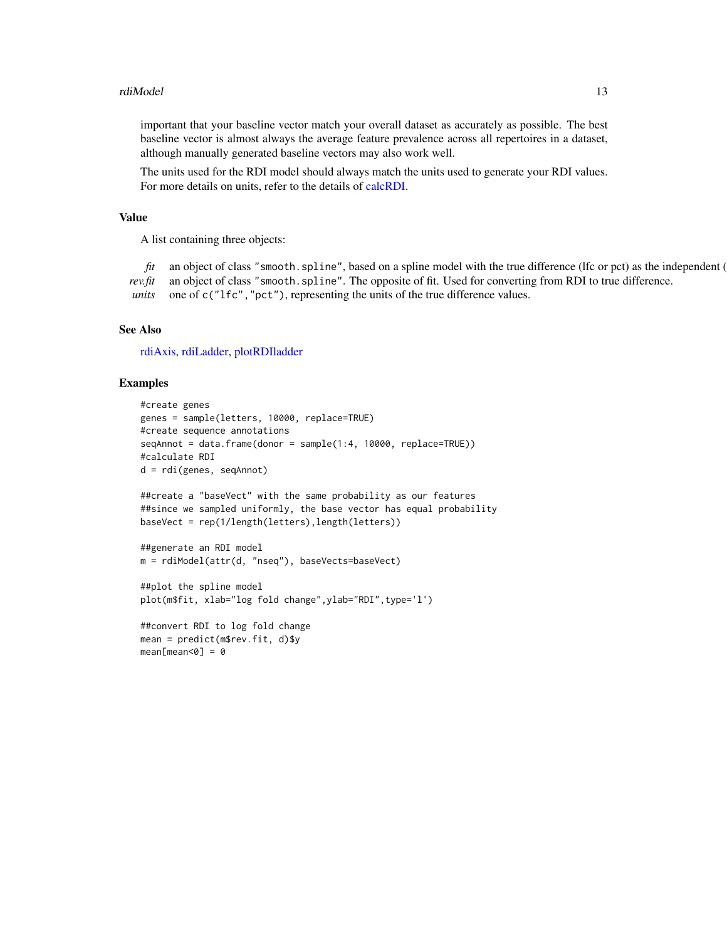#### <span id="page-12-0"></span>rdiModel 2012 and 2013 and 2013 and 2013 and 2013 and 2013 and 2013 and 2013 and 2013 and 2013 and 2013 and 20

important that your baseline vector match your overall dataset as accurately as possible. The best baseline vector is almost always the average feature prevalence across all repertoires in a dataset, although manually generated baseline vectors may also work well.

The units used for the RDI model should always match the units used to generate your RDI values. For more details on units, refer to the details of [calcRDI.](#page-1-1)

#### Value

A list containing three objects:

*fit* an object of class "smooth.spline", based on a spline model with the true difference (lfc or pct) as the independent ( *rev.fit* an object of class "smooth.spline". The opposite of fit. Used for converting from RDI to true difference. *units* one of c("1fc", "pct"), representing the units of the true difference values.

#### See Also

[rdiAxis,](#page-8-1) [rdiLadder,](#page-10-1) [plotRDIladder](#page-6-1)

#### Examples

```
#create genes
genes = sample(letters, 10000, replace=TRUE)
#create sequence annotations
seqAnnot = data.frame(donor = sample(1:4, 10000, replace=TRUE))
#calculate RDI
d = rdi(genes, seqAnnot)
##create a "baseVect" with the same probability as our features
##since we sampled uniformly, the base vector has equal probability
baseVect = rep(1/length(letters),length(letters))
##generate an RDI model
m = rdiModel(attr(d, "nseq"), baseVects=baseVect)
##plot the spline model
plot(m$fit, xlab="log fold change",ylab="RDI",type='l')
##convert RDI to log fold change
mean = predict(m$rev.fit, d)$y
mean[mean<0] = 0
```